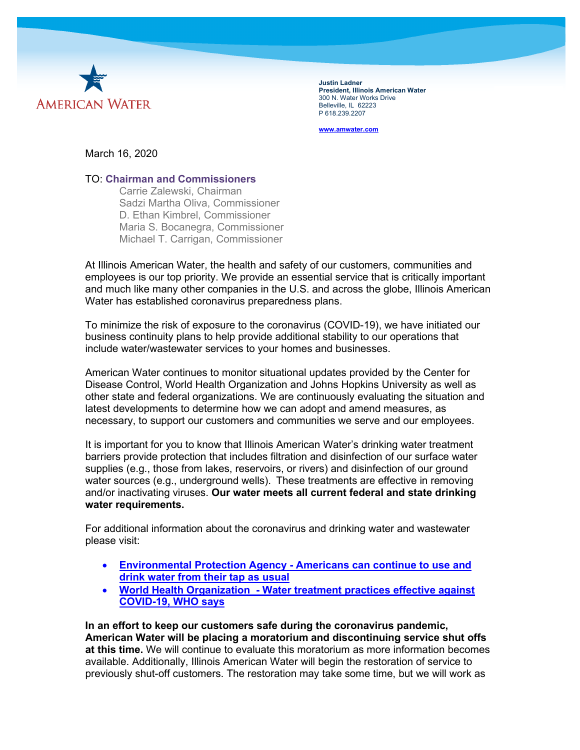

**Justin Ladner President, Illinois American Water** 300 N. Water Works Drive Belleville, IL 62223 P 618.239.2207

**[www.amwater.com](http://www.amwater.com/)**

March 16, 2020

## TO: **[Chairman and Commissioners](https://www.icc.illinois.gov/about)**

• [Carrie Zalewski, Chairman](https://www.icc.illinois.gov/about/commissioners/zalewski) • [Sadzi Martha Oliva, Commissioner](https://www.icc.illinois.gov/about/commissioners/oliva) • [D. Ethan Kimbrel, Commissioner](https://www.icc.illinois.gov/about/commissioners/kimbrel) • [Maria S. Bocanegra, Commissioner](https://www.icc.illinois.gov/about/commissioners/bocanegra) [Michael T. Carrigan, Commissioner](https://www.icc.illinois.gov/about/commissioners/carrigan)

At Illinois American Water, the health and safety of our customers, communities and employees is our top priority. We provide an essential service that is critically important and much like many other companies in the U.S. and across the globe, Illinois American Water has established coronavirus preparedness plans.

To minimize the risk of exposure to the coronavirus (COVID-19), we have initiated our business continuity plans to help provide additional stability to our operations that include water/wastewater services to your homes and businesses.

American Water continues to monitor situational updates provided by the Center for Disease Control, World Health Organization and Johns Hopkins University as well as other state and federal organizations. We are continuously evaluating the situation and latest developments to determine how we can adopt and amend measures, as necessary, to support our customers and communities we serve and our employees.

It is important for you to know that Illinois American Water's drinking water treatment barriers provide protection that includes filtration and disinfection of our surface water supplies (e.g., those from lakes, reservoirs, or rivers) and disinfection of our ground water sources (e.g., underground wells).  These treatments are effective in removing and/or inactivating viruses. **Our water meets all current federal and state drinking water requirements.** 

For additional information about the coronavirus and drinking water and wastewater please visit:

- **[Environmental](https://www.epa.gov/coronavirus/coronavirus-and-drinking-water-and-wastewater#main-content) Protection Agency - Americans can continue to use and drink [water](https://www.epa.gov/coronavirus/coronavirus-and-drinking-water-and-wastewater#main-content) from their tap as usual**
- **World Health [Organization -](https://waterfm.com/water-treatment-practices-effective-against-covid-19-who-says/) Water treatment practices effective against [COVID-19,](https://waterfm.com/water-treatment-practices-effective-against-covid-19-who-says/) WHO says**

**In an effort to keep our customers safe during the coronavirus pandemic, American Water will be placing a moratorium and discontinuing service shut offs at this time.** We will continue to evaluate this moratorium as more information becomes available. Additionally, Illinois American Water will begin the restoration of service to previously shut-off customers. The restoration may take some time, but we will work as